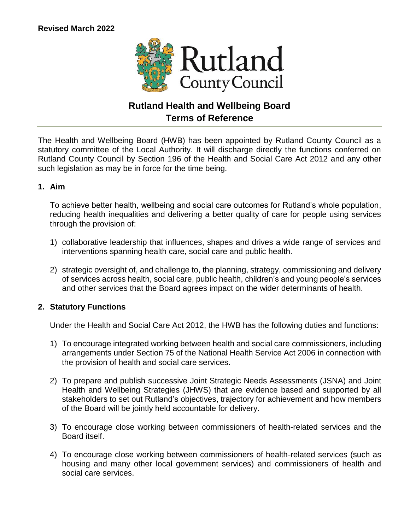

# **Rutland Health and Wellbeing Board Terms of Reference**

The Health and Wellbeing Board (HWB) has been appointed by Rutland County Council as a statutory committee of the Local Authority. It will discharge directly the functions conferred on Rutland County Council by Section 196 of the Health and Social Care Act 2012 and any other such legislation as may be in force for the time being.

# **1. Aim**

To achieve better health, wellbeing and social care outcomes for Rutland's whole population, reducing health inequalities and delivering a better quality of care for people using services through the provision of:

- 1) collaborative leadership that influences, shapes and drives a wide range of services and interventions spanning health care, social care and public health.
- 2) strategic oversight of, and challenge to, the planning, strategy, commissioning and delivery of services across health, social care, public health, children's and young people's services and other services that the Board agrees impact on the wider determinants of health.

# **2. Statutory Functions**

Under the Health and Social Care Act 2012, the HWB has the following duties and functions:

- 1) To encourage integrated working between health and social care commissioners, including arrangements under Section 75 of the National Health Service Act 2006 in connection with the provision of health and social care services.
- 2) To prepare and publish successive Joint Strategic Needs Assessments (JSNA) and Joint Health and Wellbeing Strategies (JHWS) that are evidence based and supported by all stakeholders to set out Rutland's objectives, trajectory for achievement and how members of the Board will be jointly held accountable for delivery.
- 3) To encourage close working between commissioners of health-related services and the Board itself.
- 4) To encourage close working between commissioners of health-related services (such as housing and many other local government services) and commissioners of health and social care services.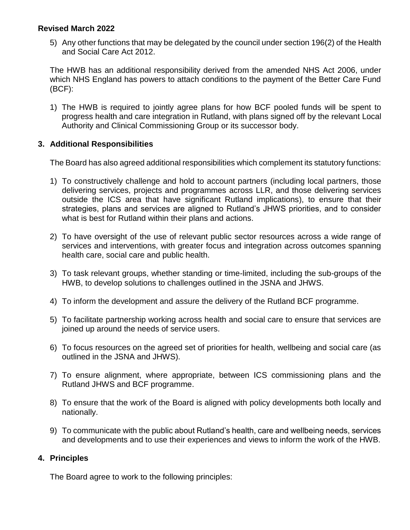5) Any other functions that may be delegated by the council under section 196(2) of the Health and Social Care Act 2012.

The HWB has an additional responsibility derived from the amended NHS Act 2006, under which NHS England has powers to attach conditions to the payment of the Better Care Fund (BCF):

1) The HWB is required to jointly agree plans for how BCF pooled funds will be spent to progress health and care integration in Rutland, with plans signed off by the relevant Local Authority and Clinical Commissioning Group or its successor body.

# **3. Additional Responsibilities**

The Board has also agreed additional responsibilities which complement its statutory functions:

- 1) To constructively challenge and hold to account partners (including local partners, those delivering services, projects and programmes across LLR, and those delivering services outside the ICS area that have significant Rutland implications), to ensure that their strategies, plans and services are aligned to Rutland's JHWS priorities, and to consider what is best for Rutland within their plans and actions.
- 2) To have oversight of the use of relevant public sector resources across a wide range of services and interventions, with greater focus and integration across outcomes spanning health care, social care and public health.
- 3) To task relevant groups, whether standing or time-limited, including the sub-groups of the HWB, to develop solutions to challenges outlined in the JSNA and JHWS.
- 4) To inform the development and assure the delivery of the Rutland BCF programme.
- 5) To facilitate partnership working across health and social care to ensure that services are joined up around the needs of service users.
- 6) To focus resources on the agreed set of priorities for health, wellbeing and social care (as outlined in the JSNA and JHWS).
- 7) To ensure alignment, where appropriate, between ICS commissioning plans and the Rutland JHWS and BCF programme.
- 8) To ensure that the work of the Board is aligned with policy developments both locally and nationally.
- 9) To communicate with the public about Rutland's health, care and wellbeing needs, services and developments and to use their experiences and views to inform the work of the HWB.

# **4. Principles**

The Board agree to work to the following principles: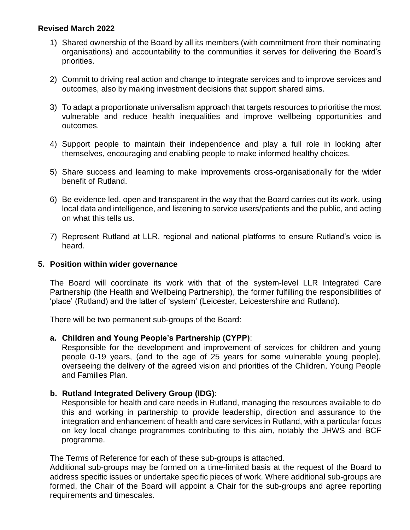- 1) Shared ownership of the Board by all its members (with commitment from their nominating organisations) and accountability to the communities it serves for delivering the Board's priorities.
- 2) Commit to driving real action and change to integrate services and to improve services and outcomes, also by making investment decisions that support shared aims.
- 3) To adapt a proportionate universalism approach that targets resources to prioritise the most vulnerable and reduce health inequalities and improve wellbeing opportunities and outcomes.
- 4) Support people to maintain their independence and play a full role in looking after themselves, encouraging and enabling people to make informed healthy choices.
- 5) Share success and learning to make improvements cross-organisationally for the wider benefit of Rutland.
- 6) Be evidence led, open and transparent in the way that the Board carries out its work, using local data and intelligence, and listening to service users/patients and the public, and acting on what this tells us.
- 7) Represent Rutland at LLR, regional and national platforms to ensure Rutland's voice is heard.

# **5. Position within wider governance**

The Board will coordinate its work with that of the system-level LLR Integrated Care Partnership (the Health and Wellbeing Partnership), the former fulfilling the responsibilities of 'place' (Rutland) and the latter of 'system' (Leicester, Leicestershire and Rutland).

There will be two permanent sub-groups of the Board:

# **a. Children and Young People's Partnership (CYPP)**:

Responsible for the development and improvement of services for children and young people 0-19 years, (and to the age of 25 years for some vulnerable young people), overseeing the delivery of the agreed vision and priorities of the Children, Young People and Families Plan.

# **b. Rutland Integrated Delivery Group (IDG)**:

Responsible for health and care needs in Rutland, managing the resources available to do this and working in partnership to provide leadership, direction and assurance to the integration and enhancement of health and care services in Rutland, with a particular focus on key local change programmes contributing to this aim, notably the JHWS and BCF programme.

The Terms of Reference for each of these sub-groups is attached.

Additional sub-groups may be formed on a time-limited basis at the request of the Board to address specific issues or undertake specific pieces of work. Where additional sub-groups are formed, the Chair of the Board will appoint a Chair for the sub-groups and agree reporting requirements and timescales.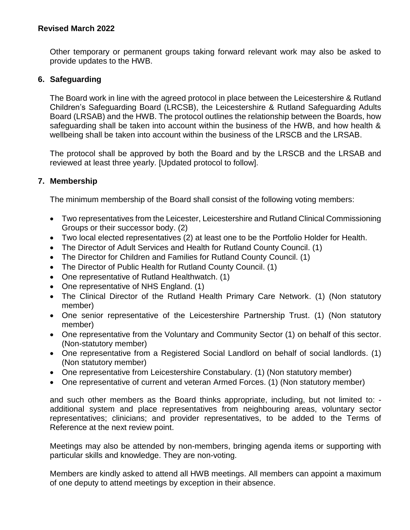Other temporary or permanent groups taking forward relevant work may also be asked to provide updates to the HWB.

# **6. Safeguarding**

The Board work in line with the agreed protocol in place between the Leicestershire & Rutland Children's Safeguarding Board (LRCSB), the Leicestershire & Rutland Safeguarding Adults Board (LRSAB) and the HWB. The protocol outlines the relationship between the Boards, how safeguarding shall be taken into account within the business of the HWB, and how health & wellbeing shall be taken into account within the business of the LRSCB and the LRSAB.

The protocol shall be approved by both the Board and by the LRSCB and the LRSAB and reviewed at least three yearly. [Updated protocol to follow].

#### **7. Membership**

The minimum membership of the Board shall consist of the following voting members:

- Two representatives from the Leicester, Leicestershire and Rutland Clinical Commissioning Groups or their successor body. (2)
- Two local elected representatives (2) at least one to be the Portfolio Holder for Health.
- The Director of Adult Services and Health for Rutland County Council. (1)
- The Director for Children and Families for Rutland County Council. (1)
- The Director of Public Health for Rutland County Council. (1)
- One representative of Rutland Healthwatch. (1)
- One representative of NHS England. (1)
- The Clinical Director of the Rutland Health Primary Care Network. (1) (Non statutory member)
- One senior representative of the Leicestershire Partnership Trust. (1) (Non statutory member)
- One representative from the Voluntary and Community Sector (1) on behalf of this sector. (Non-statutory member)
- One representative from a Registered Social Landlord on behalf of social landlords. (1) (Non statutory member)
- One representative from Leicestershire Constabulary. (1) (Non statutory member)
- One representative of current and veteran Armed Forces. (1) (Non statutory member)

and such other members as the Board thinks appropriate, including, but not limited to: additional system and place representatives from neighbouring areas, voluntary sector representatives; clinicians; and provider representatives, to be added to the Terms of Reference at the next review point.

Meetings may also be attended by non-members, bringing agenda items or supporting with particular skills and knowledge. They are non-voting.

Members are kindly asked to attend all HWB meetings. All members can appoint a maximum of one deputy to attend meetings by exception in their absence.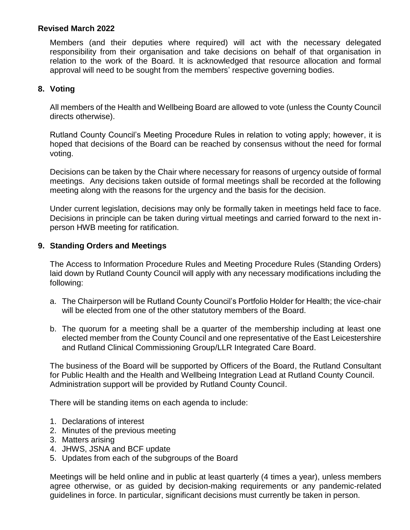Members (and their deputies where required) will act with the necessary delegated responsibility from their organisation and take decisions on behalf of that organisation in relation to the work of the Board. It is acknowledged that resource allocation and formal approval will need to be sought from the members' respective governing bodies.

# **8. Voting**

All members of the Health and Wellbeing Board are allowed to vote (unless the County Council directs otherwise).

Rutland County Council's Meeting Procedure Rules in relation to voting apply; however, it is hoped that decisions of the Board can be reached by consensus without the need for formal voting.

Decisions can be taken by the Chair where necessary for reasons of urgency outside of formal meetings. Any decisions taken outside of formal meetings shall be recorded at the following meeting along with the reasons for the urgency and the basis for the decision.

Under current legislation, decisions may only be formally taken in meetings held face to face. Decisions in principle can be taken during virtual meetings and carried forward to the next inperson HWB meeting for ratification.

# **9. Standing Orders and Meetings**

The Access to Information Procedure Rules and Meeting Procedure Rules (Standing Orders) laid down by Rutland County Council will apply with any necessary modifications including the following:

- a. The Chairperson will be Rutland County Council's Portfolio Holder for Health; the vice-chair will be elected from one of the other statutory members of the Board.
- b. The quorum for a meeting shall be a quarter of the membership including at least one elected member from the County Council and one representative of the East Leicestershire and Rutland Clinical Commissioning Group/LLR Integrated Care Board.

The business of the Board will be supported by Officers of the Board, the Rutland Consultant for Public Health and the Health and Wellbeing Integration Lead at Rutland County Council. Administration support will be provided by Rutland County Council.

There will be standing items on each agenda to include:

- 1. Declarations of interest
- 2. Minutes of the previous meeting
- 3. Matters arising
- 4. JHWS, JSNA and BCF update
- 5. Updates from each of the subgroups of the Board

Meetings will be held online and in public at least quarterly (4 times a year), unless members agree otherwise, or as guided by decision-making requirements or any pandemic-related guidelines in force. In particular, significant decisions must currently be taken in person.